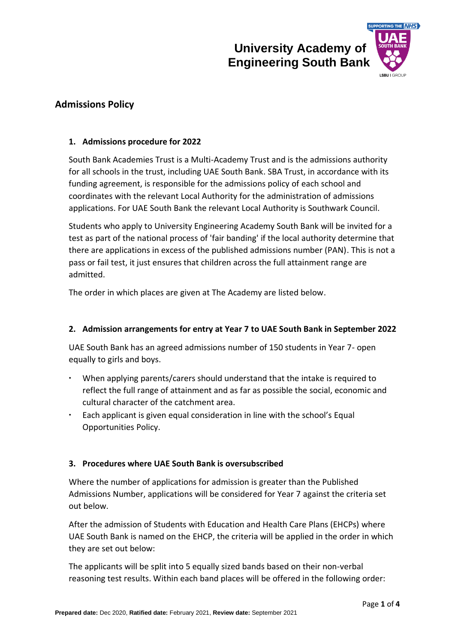

# **Admissions Policy**

# **1. Admissions procedure for 2022**

South Bank Academies Trust is a Multi-Academy Trust and is the admissions authority for all schools in the trust, including UAE South Bank. SBA Trust, in accordance with its funding agreement, is responsible for the admissions policy of each school and coordinates with the relevant Local Authority for the administration of admissions applications. For UAE South Bank the relevant Local Authority is Southwark Council.

Students who apply to University Engineering Academy South Bank will be invited for a test as part of the national process of 'fair banding' if the local authority determine that there are applications in excess of the published admissions number (PAN). This is not a pass or fail test, it just ensures that children across the full attainment range are admitted.

The order in which places are given at The Academy are listed below.

### **2. Admission arrangements for entry at Year 7 to UAE South Bank in September 2022**

UAE South Bank has an agreed admissions number of 150 students in Year 7- open equally to girls and boys.

- When applying parents/carers should understand that the intake is required to reflect the full range of attainment and as far as possible the social, economic and cultural character of the catchment area.
- Each applicant is given equal consideration in line with the school's Equal Opportunities Policy.

### **3. Procedures where UAE South Bank is oversubscribed**

Where the number of applications for admission is greater than the Published Admissions Number, applications will be considered for Year 7 against the criteria set out below.

After the admission of Students with Education and Health Care Plans (EHCPs) where UAE South Bank is named on the EHCP, the criteria will be applied in the order in which they are set out below:

The applicants will be split into 5 equally sized bands based on their non-verbal reasoning test results. Within each band places will be offered in the following order: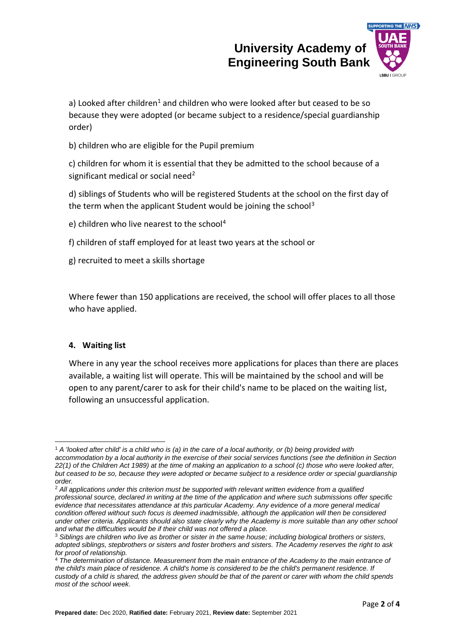

a) Looked after children<sup>1</sup> and children who were looked after but ceased to be so because they were adopted (or became subject to a residence/special guardianship order)

b) children who are eligible for the Pupil premium

c) children for whom it is essential that they be admitted to the school because of a significant medical or social need<sup>2</sup>

d) siblings of Students who will be registered Students at the school on the first day of the term when the applicant Student would be joining the school<sup>3</sup>

e) children who live nearest to the school<sup>4</sup>

f) children of staff employed for at least two years at the school or

g) recruited to meet a skills shortage

Where fewer than 150 applications are received, the school will offer places to all those who have applied.

### **4. Waiting list**

Where in any year the school receives more applications for places than there are places available, a waiting list will operate. This will be maintained by the school and will be open to any parent/carer to ask for their child's name to be placed on the waiting list, following an unsuccessful application.

<sup>1</sup> *A 'looked after child' is a child who is (a) in the care of a local authority, or (b) being provided with accommodation by a local authority in the exercise of their social services functions (see the definition in Section 22(1) of the Children Act 1989) at the time of making an application to a school (c) those who were looked after, but ceased to be so, because they were adopted or became subject to a residence order or special guardianship order.*

<sup>2</sup> *All applications under this criterion must be supported with relevant written evidence from a qualified professional source, declared in writing at the time of the application and where such submissions offer specific evidence that necessitates attendance at this particular Academy. Any evidence of a more general medical*  condition offered without such focus is deemed inadmissible, although the application will then be considered *under other criteria. Applicants should also state clearly why the Academy is more suitable than any other school and what the difficulties would be if their child was not offered a place.*

<sup>3</sup> *Siblings are children who live as brother or sister in the same house; including biological brothers or sisters, adopted siblings, stepbrothers or sisters and foster brothers and sisters. The Academy reserves the right to ask for proof of relationship.*

<sup>4</sup> *The determination of distance. Measurement from the main entrance of the Academy to the main entrance of the child's main place of residence. A child's home is considered to be the child's permanent residence. If custody of a child is shared, the address given should be that of the parent or carer with whom the child spends most of the school week.*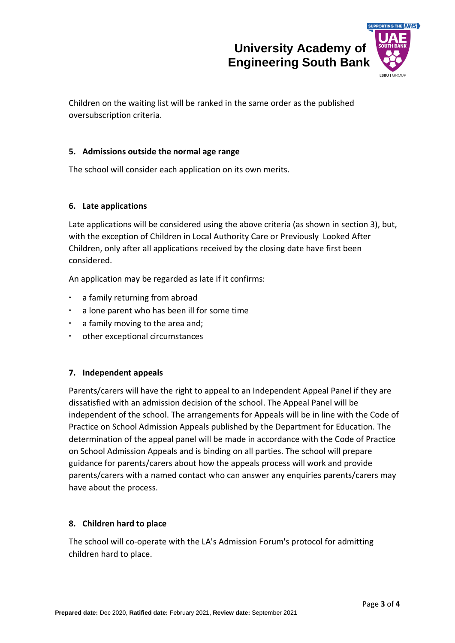

Children on the waiting list will be ranked in the same order as the published oversubscription criteria.

### **5. Admissions outside the normal age range**

The school will consider each application on its own merits.

### **6. Late applications**

Late applications will be considered using the above criteria (as shown in section 3), but, with the exception of Children in Local Authority Care or Previously Looked After Children, only after all applications received by the closing date have first been considered.

An application may be regarded as late if it confirms:

- a family returning from abroad
- a lone parent who has been ill for some time
- a family moving to the area and;
- other exceptional circumstances

### **7. Independent appeals**

Parents/carers will have the right to appeal to an Independent Appeal Panel if they are dissatisfied with an admission decision of the school. The Appeal Panel will be independent of the school. The arrangements for Appeals will be in line with the Code of Practice on School Admission Appeals published by the Department for Education. The determination of the appeal panel will be made in accordance with the Code of Practice on School Admission Appeals and is binding on all parties. The school will prepare guidance for parents/carers about how the appeals process will work and provide parents/carers with a named contact who can answer any enquiries parents/carers may have about the process.

### **8. Children hard to place**

The school will co-operate with the LA's Admission Forum's protocol for admitting children hard to place.